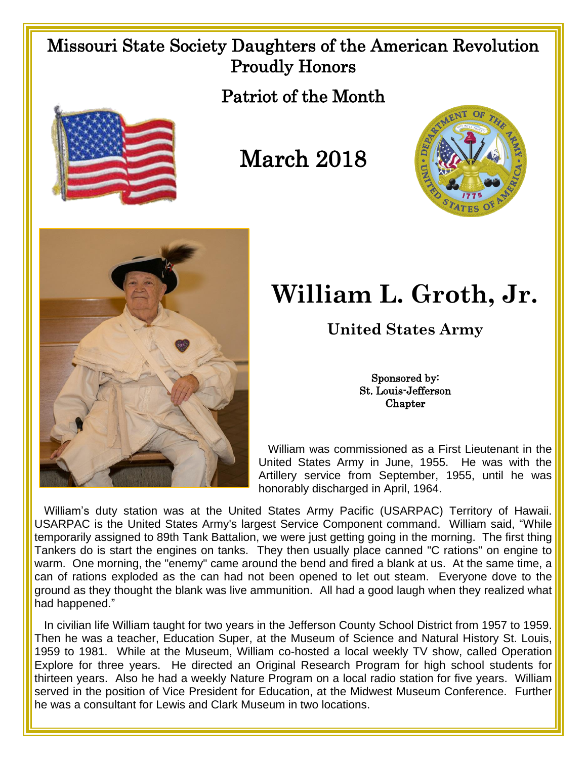## Missouri State Society Daughters of the American Revolution Proudly Honors

Patriot of the Month



## March 2018





## **William L. Groth, Jr.**

**United States Army**

Sponsored by: St. Louis-Jefferson **Chapter** 

 William was commissioned as a First Lieutenant in the United States Army in June, 1955. He was with the Artillery service from September, 1955, until he was honorably discharged in April, 1964.

 William's duty station was at the United States Army Pacific (USARPAC) Territory of Hawaii. USARPAC is the United States Army's largest Service Component command. William said, "While temporarily assigned to 89th Tank Battalion, we were just getting going in the morning. The first thing Tankers do is start the engines on tanks. They then usually place canned "C rations" on engine to warm. One morning, the "enemy" came around the bend and fired a blank at us. At the same time, a can of rations exploded as the can had not been opened to let out steam. Everyone dove to the ground as they thought the blank was live ammunition. All had a good laugh when they realized what had happened."

 In civilian life William taught for two years in the Jefferson County School District from 1957 to 1959. Then he was a teacher, Education Super, at the Museum of Science and Natural History St. Louis, 1959 to 1981. While at the Museum, William co-hosted a local weekly TV show, called Operation Explore for three years. He directed an Original Research Program for high school students for thirteen years. Also he had a weekly Nature Program on a local radio station for five years. William served in the position of Vice President for Education, at the Midwest Museum Conference. Further he was a consultant for Lewis and Clark Museum in two locations.